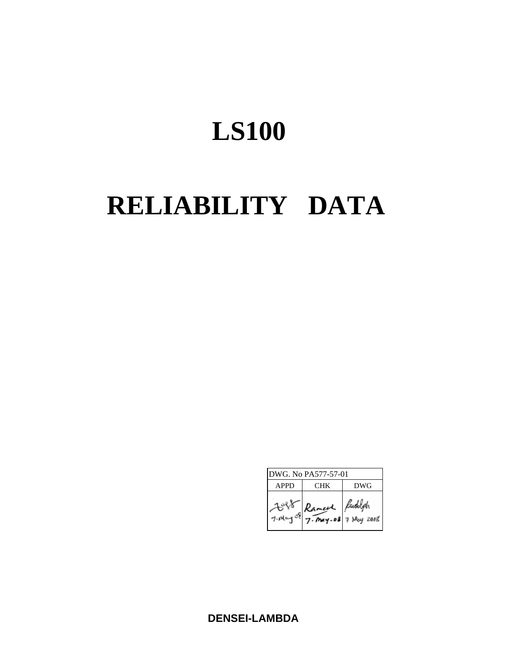# **LS100**

# **RELIABILITY DATA**

| DWG. No PA577-57-01 |            |                                        |  |  |
|---------------------|------------|----------------------------------------|--|--|
| <b>APPD</b>         | <b>CHK</b> | DWG                                    |  |  |
| 7. May of           |            | Ramed Fundalph<br>7. May-08 7 May 2002 |  |  |

**DENSEI-LAMBDA**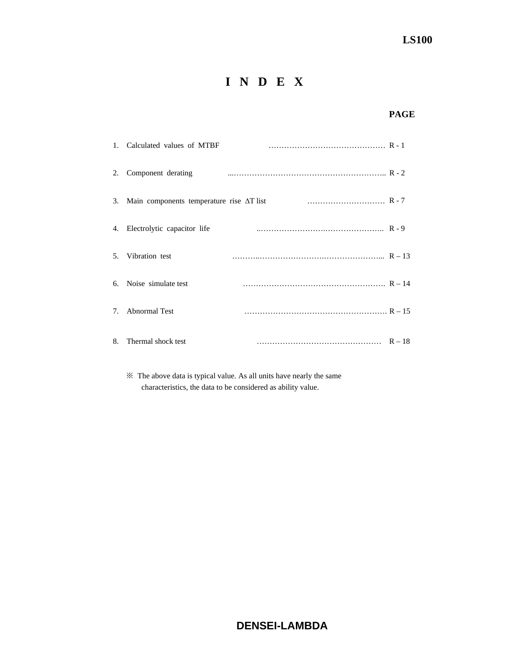# **I N D E X**

# **PAGE**

|    | 1. Calculated values of MTBF                        |  |
|----|-----------------------------------------------------|--|
| 2. | Component derating                                  |  |
|    | 3. Main components temperature rise $\Delta T$ list |  |
|    | 4. Electrolytic capacitor life                      |  |
|    | 5. Vibration test                                   |  |
|    | 6. Noise simulate test                              |  |
|    | 7. Abnormal Test                                    |  |
| 8. | Thermal shock test                                  |  |

 ※ The above data is typical value. As all units have nearly the same characteristics, the data to be considered as ability value.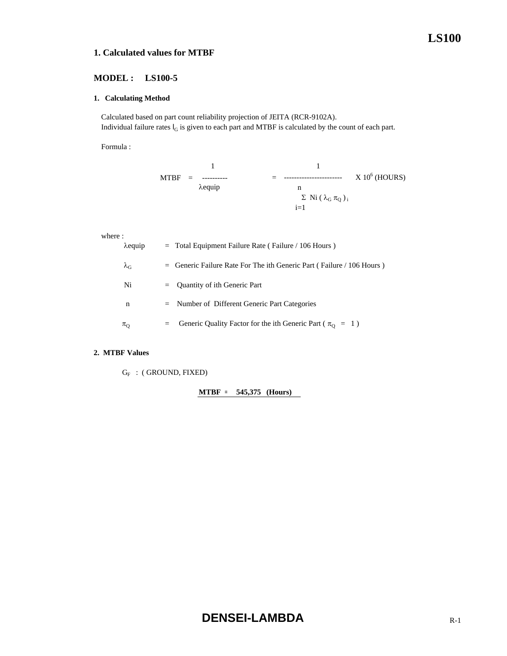## **1. Calculated values for MTBF**

## **MODEL : LS100-5**

#### **1. Calculating Method**

 Calculated based on part count reliability projection of JEITA (RCR-9102A). Individual failure rates  $I_G$  is given to each part and MTBF is calculated by the count of each part.

Formula :

$$
MTBF = \frac{1}{\lambda \text{equiv}} = \frac{1}{n} \qquad \qquad \times 10^{6} \text{ (HOURS)}
$$
\n
$$
\frac{1}{\lambda \text{equiv}} = \frac{1}{n} \qquad \qquad \times 10^{6} \text{ (HOURS)}
$$
\n
$$
\frac{1}{n} = 1
$$

where :

| $\lambda$ equip   |     | $=$ Total Equipment Failure Rate (Failure / 106 Hours)                  |
|-------------------|-----|-------------------------------------------------------------------------|
| $\lambda_{\rm G}$ |     | $=$ Generic Failure Rate For The ith Generic Part (Failure / 106 Hours) |
| Ni                |     | $=$ Quantity of ith Generic Part                                        |
| n                 |     | $=$ Number of Different Generic Part Categories                         |
| $\pi_{\text{Q}}$  | $=$ | Generic Quality Factor for the ith Generic Part ( $\pi_{\Omega} = 1$ )  |

## **2. MTBF Values**

 $G_F$  : (GROUND, FIXED)

**MTBF = 545,375 (Hours)**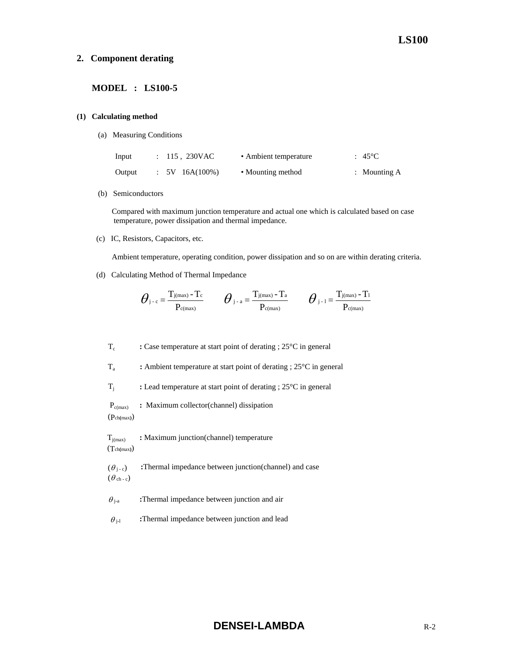#### **2. Component derating**

#### **MODEL : LS100-5**

#### **(1) Calculating method**

(a) Measuring Conditions

| Input  | : 115, 230VAC     | • Ambient temperature | $\div$ 45 <sup>o</sup> C |
|--------|-------------------|-----------------------|--------------------------|
| Output | $: 5V 16A(100\%)$ | • Mounting method     | : Mounting $A$           |

(b) Semiconductors

 Compared with maximum junction temperature and actual one which is calculated based on case temperature, power dissipation and thermal impedance.

(c) IC, Resistors, Capacitors, etc.

Ambient temperature, operating condition, power dissipation and so on are within derating criteria.

(d) Calculating Method of Thermal Impedance

$$
\boldsymbol{\theta}_{\text{j-c}}\!=\!\frac{T_{\text{j}(max)}-T_{\text{c}}}{P_{\text{c}(max)}}\qquad \boldsymbol{\theta}_{\text{j-a}}\!=\!\frac{T_{\text{j}(max)}-T_{\text{a}}}{P_{\text{c}(max)}}\qquad \boldsymbol{\theta}_{\text{j-1}}\!=\!\frac{T_{\text{j}(max)}-T_{\text{1}}}{P_{\text{c}(max)}}
$$

Tc **:** Case temperature at start point of derating ; 25°C in general

Ta **:** Ambient temperature at start point of derating ; 25°C in general

Tj **:** Lead temperature at start point of derating ; 25°C in general

Pc(max) **:** Maximum collector(channel) dissipation

(Pch**(**max**)**)

Tj(max) **:** Maximum junction(channel) temperature (Tch**(**max**)**)

 $(\theta_{i-c})$  **:**Thermal impedance between junction(channel) and case  $(\theta_{ch-c})$ 

 $\theta_{j-a}$  **:**Thermal impedance between junction and air

 $\theta_{j-l}$  **:**Thermal impedance between junction and lead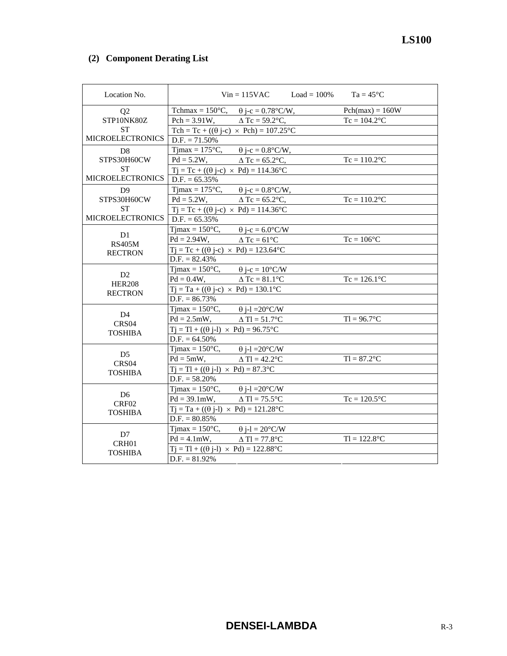# **(2) Component Derating List**

| Location No.            |                                                            | $Vin = 115VAC$ $Load = 100\%$ $Ta = 45°C$ |                   |  |
|-------------------------|------------------------------------------------------------|-------------------------------------------|-------------------|--|
| Q2                      | Tchmax = $150^{\circ}$ C, $\theta$ j-c = 0.78°C/W,         |                                           | $Pch(max) = 160W$ |  |
| STP10NK80Z              | Pch = 3.91W, $\Delta$ Tc = 59.2°C,                         |                                           | $Tc = 104.2$ °C   |  |
| <b>ST</b>               | Tch = Tc + (( $\theta$ j-c) × Pch) = 107.25 °C             |                                           |                   |  |
| <b>MICROELECTRONICS</b> | $D.F. = 71.50\%$                                           |                                           |                   |  |
| D <sub>8</sub>          | Tjmax = $175^{\circ}$ C, $\theta$ j-c = $0.8^{\circ}$ C/W, |                                           |                   |  |
| STPS30H60CW             | Pd = 5.2W, $\Delta$ Tc = 65.2°C,                           |                                           | $Tc = 110.2$ °C   |  |
| <b>ST</b>               | $Tj = Tc + ((\theta j - c) \times Pd) = 114.36^{\circ}C$   |                                           |                   |  |
| <b>MICROELECTRONICS</b> | $D.F. = 65.35\%$                                           |                                           |                   |  |
| D <sub>9</sub>          | $T$ jmax = 175 $\mathrm{^{\circ}C}$ ,                      | $\theta$ j-c = 0.8°C/W,                   |                   |  |
| STPS30H60CW             | $Pd = 5.2W,$ $\Delta Tc = 65.2^{\circ}C,$                  |                                           | $Tc = 110.2$ °C   |  |
| <b>ST</b>               | $Tj = Tc + ((\theta j - c) \times Pd) = 114.36^{\circ}C$   |                                           |                   |  |
| <b>MICROELECTRONICS</b> | $D.F. = 65.35\%$                                           |                                           |                   |  |
| D1                      | $T$ jmax = 150 $\degree$ C,                                | $\theta$ j-c = 6.0°C/W                    |                   |  |
| <b>RS405M</b>           | $Pd = 2.94W$ , $\Delta Tc = 61^{\circ}C$                   |                                           | $Tc = 106$ °C     |  |
| <b>RECTRON</b>          | $Tj = Tc + ((\theta j - c) \times Pd) = 123.64$ °C         |                                           |                   |  |
|                         | $D.F. = 82.43\%$                                           |                                           |                   |  |
| D2                      | Timax = $150^{\circ}$ C, $\theta$ j-c = $10^{\circ}$ C/W   |                                           |                   |  |
| <b>HER208</b>           | $Pd = 0.4W$ , $\Delta Tc = 81.1^{\circ}C$                  |                                           | $Tc = 126.1$ °C   |  |
| <b>RECTRON</b>          | $Tj = Ta + ((\theta j-c) \times Pd) = 130.1^{\circ}C$      |                                           |                   |  |
|                         | $D.F. = 86.73\%$                                           |                                           |                   |  |
| D <sub>4</sub>          | Tjmax = $150^{\circ}$ C, $\theta$ j-l = $20^{\circ}$ C/W   |                                           |                   |  |
| CRS04                   | $Pd = 2.5mW,$ $\Delta Tl = 51.7^{\circ}C$                  |                                           | $T = 96.7$ °C     |  |
| <b>TOSHIBA</b>          | $Tj = Tl + ((\theta j-l) \times Pd) = 96.75^{\circ}C$      |                                           |                   |  |
|                         | $D.F. = 64.50\%$                                           |                                           |                   |  |
| D <sub>5</sub>          | Tjmax = $150^{\circ}$ C, $\theta$ j-l = $20^{\circ}$ C/W   |                                           |                   |  |
| CRS <sub>04</sub>       | $Pd = 5mW,$                                                | $\triangle$ Tl = 42.2 $^{\circ}$ C        | $TI = 87.2$ °C    |  |
| <b>TOSHIBA</b>          | $Tj = Tl + ((\theta j-l) \times Pd) = 87.3$ °C             |                                           |                   |  |
|                         | $D.F. = 58.20\%$                                           |                                           |                   |  |
| D <sub>6</sub>          | Tjmax = $150^{\circ}$ C, $\theta$ j-l = $20^{\circ}$ C/W   |                                           |                   |  |
| CRF <sub>02</sub>       | $Pd = 39.1 \text{mW}, \qquad \Delta Tl = 75.5^{\circ}C$    |                                           | $Tc = 120.5$ °C   |  |
| <b>TOSHIBA</b>          | $Tj = Ta + ((\theta j-l) \times Pd) = 121.28$ °C           |                                           |                   |  |
|                         | $D.F. = 80.85\%$                                           |                                           |                   |  |
|                         | Tjmax = $150^{\circ}$ C, $\theta$ j-l = $20^{\circ}$ C/W   |                                           |                   |  |
| D7<br>CRH01             | $Pd = 4.1mW,$ $\Delta Tl = 77.8^{\circ}C$                  |                                           | $TI = 122.8$ °C   |  |
| TOSHIBA                 | $Tj = Tl + ((\theta j-l) \times Pd) = 122.88^{\circ}C$     |                                           |                   |  |
|                         | $D.F. = 81.92\%$                                           |                                           |                   |  |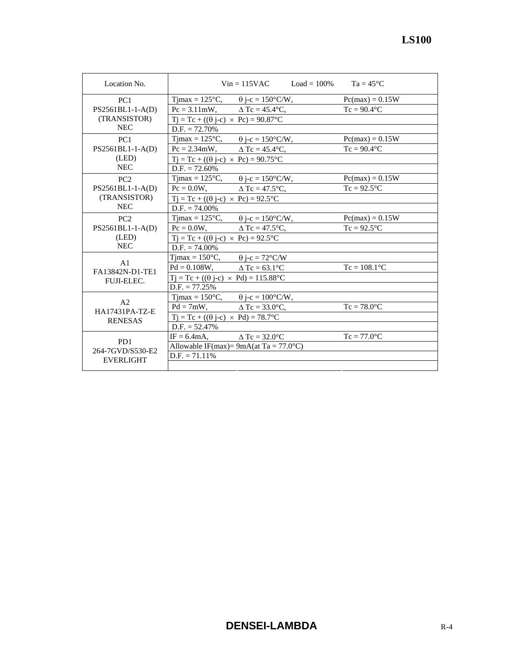| Location No.      |                                                            | $Vin = 115VAC$ $Load = 100\%$ | $Ta = 45^{\circ}C$ |  |
|-------------------|------------------------------------------------------------|-------------------------------|--------------------|--|
| PC <sub>1</sub>   | Tjmax = $125^{\circ}$ C, $\theta$ j-c = $150^{\circ}$ C/W, |                               | $Pc(max) = 0.15W$  |  |
| PS2561BL1-1-A(D)  | $Pc = 3.11 \text{mW}, \qquad \Delta Tc = 45.4 \text{°C},$  |                               | $Tc = 90.4$ °C     |  |
| (TRANSISTOR)      | $Tj = Tc + ((\theta j - c) \times Pc) = 90.87$ °C          |                               |                    |  |
| <b>NEC</b>        | $D.F. = 72.70\%$                                           |                               |                    |  |
| PC1               | Tjmax = $125^{\circ}$ C, $\theta$ j-c = $150^{\circ}$ C/W, |                               | $Pc(max) = 0.15W$  |  |
| PS2561BL1-1-A(D)  | $Pc = 2.34$ mW, $\Delta Tc = 45.4$ °C,                     |                               | $Tc = 90.4$ °C     |  |
| (LED)             | $Tj = Tc + ((\theta j - c) \times Pc) = 90.75$ °C          |                               |                    |  |
| <b>NEC</b>        | $D.F. = 72.60\%$                                           |                               |                    |  |
| PC2               | Tjmax = $125^{\circ}$ C, $\theta$ j-c = $150^{\circ}$ C/W, |                               | $Pc(max) = 0.15W$  |  |
| PS2561BL1-1-A(D)  | $Pc = 0.0W,$ $\Delta Tc = 47.5^{\circ}C,$                  |                               | $Tc = 92.5$ °C     |  |
| (TRANSISTOR)      | $Tj = Tc + ((\theta j - c) \times Pc) = 92.5^{\circ}C$     |                               |                    |  |
| <b>NEC</b>        | $D.F. = 74.00\%$                                           |                               |                    |  |
| PC2               | Tjmax = $125^{\circ}$ C, $\theta$ j-c = $150^{\circ}$ C/W, |                               | $Pc(max) = 0.15W$  |  |
| PS2561BL1-1-A(D)  | $Pc = 0.0W,$ $\Delta Tc = 47.5^{\circ}C,$                  |                               | $Tc = 92.5$ °C     |  |
| (LED)             | $Tj = Tc + ((\theta j - c) \times Pc) = 92.5$ °C           |                               |                    |  |
| <b>NEC</b>        | $D.F. = 74.00\%$                                           |                               |                    |  |
| A <sub>1</sub>    | Tjmax = $150^{\circ}$ C, $\theta$ j-c = $72^{\circ}$ C/W   |                               |                    |  |
| FA13842N-D1-TE1   | $Pd = 0.108W$ , $\Delta Tc = 63.1^{\circ}C$                |                               | $Tc = 108.1$ °C    |  |
| <b>FUJI-ELEC.</b> | $Tj = Tc + ((\theta j - c) \times Pd) = 115.88$ °C         |                               |                    |  |
|                   | $D.F. = 77.25\%$                                           |                               |                    |  |
| A <sub>2</sub>    | Tjmax = $150^{\circ}$ C, $\theta$ j-c = $100^{\circ}$ C/W, |                               |                    |  |
| HA17431PA-TZ-E    | $Pd = 7mW$ , $\Delta Tc = 33.0^{\circ}C$ ,                 |                               | $Tc = 78.0$ °C     |  |
| <b>RENESAS</b>    | $Tj = Tc + ((\theta j - c) \times Pd) = 78.7$ °C           |                               |                    |  |
|                   |                                                            |                               |                    |  |

IF = 6.4mA,  $\Delta Tc = 32.0^{\circ}C$  Tc = 77.0°C

Allowable IF(max)= 9mA(at Ta = 77.0°C)

 $D.F. = 52.47%$ 

 $D.F. = 71.11\%$ 

PD1 264-7GVD/S530-E2 EVERLIGHT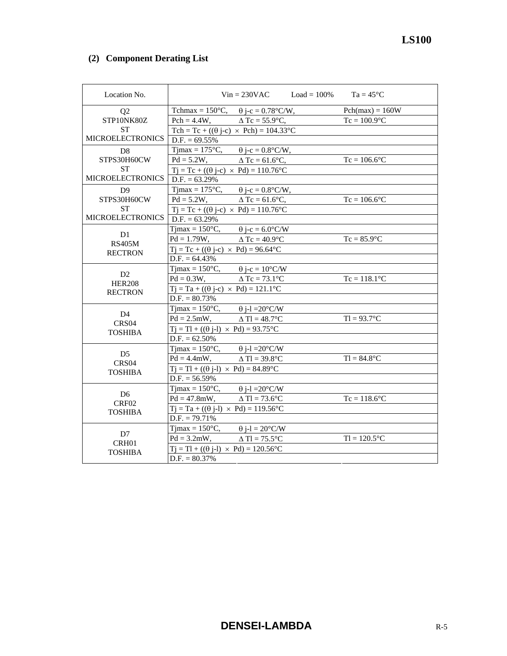# **(2) Component Derating List**

| Location No.            |                                                          | $Vin = 230VAC$ $Load = 100\%$ $Ta = 45°C$ |                   |
|-------------------------|----------------------------------------------------------|-------------------------------------------|-------------------|
| Q <sub>2</sub>          | Tchmax = 150°C, $\theta$ j-c = 0.78°C/W,                 |                                           | $Pch(max) = 160W$ |
| STP10NK80Z              | $Pch = 4.4W$ ,                                           | $\triangle$ Tc = 55.9°C,                  | $Tc = 100.9$ °C   |
| <b>ST</b>               | Tch = Tc + (( $\theta$ j-c) × Pch) = 104.33°C            |                                           |                   |
| <b>MICROELECTRONICS</b> | $D.F. = 69.55\%$                                         |                                           |                   |
| D <sub>8</sub>          | Tjmax = 175 °C, $\theta$ j-c = 0.8 °C/W,                 |                                           |                   |
| STPS30H60CW             | Pd = 5.2W, $\Delta$ Tc = 61.6°C,                         |                                           | $Tc = 106.6$ °C   |
| <b>ST</b>               | $Tj = Tc + ((\theta j - c) \times Pd) = 110.76$ °C       |                                           |                   |
| <b>MICROELECTRONICS</b> | $D.F. = 63.29\%$                                         |                                           |                   |
| D <sub>9</sub>          | $T$ jmax = 175 $\mathrm{^{\circ}C}$ ,                    | $\theta$ j-c = 0.8°C/W,                   |                   |
| STPS30H60CW             | $Pd = 5.2W,$ $\Delta Tc = 61.6^{\circ}C,$                |                                           | $Tc = 106.6$ °C   |
| ST                      | $Tj = Tc + ((\theta j - c) \times Pd) = 110.76$ °C       |                                           |                   |
| <b>MICROELECTRONICS</b> | $D.F. = 63.29\%$                                         |                                           |                   |
| D1                      | $T$ jmax = 150 $\degree$ C,                              | $\theta$ j-c = 6.0°C/W                    |                   |
| <b>RS405M</b>           | $Pd = 1.79W$ , $\Delta Tc = 40.9^{\circ}C$               |                                           | $Tc = 85.9$ °C    |
| <b>RECTRON</b>          | $Tj = Tc + ((\theta j - c) \times Pd) = 96.64$ °C        |                                           |                   |
|                         | $D.F. = 64.43\%$                                         |                                           |                   |
| D2                      | Timax = $150^{\circ}$ C, $\theta$ j-c = $10^{\circ}$ C/W |                                           |                   |
| <b>HER208</b>           | $Pd = 0.3W,$ $\Delta Tc = 73.1^{\circ}C$                 |                                           | $Tc = 118.1$ °C   |
| <b>RECTRON</b>          | $Tj = Ta + ((\theta j-c) \times Pd) = 121.1^{\circ}C$    |                                           |                   |
|                         | $D.F. = 80.73%$                                          |                                           |                   |
| D4                      | Tjmax = 150°C, $\theta$ j-1 = 20°C/W                     |                                           |                   |
| CRS <sub>04</sub>       | $Pd = 2.5mW,$ $\Delta Tl = 48.7^{\circ}C$                |                                           | $TI = 93.7$ °C    |
| <b>TOSHIBA</b>          | $Tj = Tl + ((\theta j-l) \times Pd) = 93.75$ °C          |                                           |                   |
|                         | $D.F. = 62.50\%$                                         |                                           |                   |
| D <sub>5</sub>          | Tjmax = $150^{\circ}$ C, $\theta$ j-l = $20^{\circ}$ C/W |                                           |                   |
| CRS04                   | $Pd = 4.4mW$ ,                                           | $\triangle$ Tl = 39.8°C                   | $T1 = 84.8$ °C    |
| <b>TOSHIBA</b>          | $Ti = TI + ((\theta i-I) \times Pd) = 84.89^{\circ}C$    |                                           |                   |
|                         | $D.F. = 56.59\%$                                         |                                           |                   |
| D6                      | Tjmax = $150^{\circ}$ C, $\theta$ j-l = $20^{\circ}$ C/W |                                           |                   |
| CRF02                   | $Pd = 47.8mW,$ $\Delta Tl = 73.6^{\circ}C$               |                                           | $Tc = 118.6$ °C   |
| <b>TOSHIBA</b>          | $Tj = Ta + ((\theta j-l) \times Pd) = 119.56^{\circ}C$   |                                           |                   |
|                         | $D.F. = 79.71\%$                                         |                                           |                   |
| D7                      | Tjmax = $150^{\circ}$ C, $\theta$ j-l = $20^{\circ}$ C/W |                                           |                   |
| CRH01                   | $Pd = 3.2mW,$ $\Delta Tl = 75.5^{\circ}C$                |                                           | $TI = 120.5$ °C   |
| <b>TOSHIBA</b>          | $Tj = Tl + ((\theta j-l) \times Pd) = 120.56^{\circ}C$   |                                           |                   |
|                         | $D.F. = 80.37\%$                                         |                                           |                   |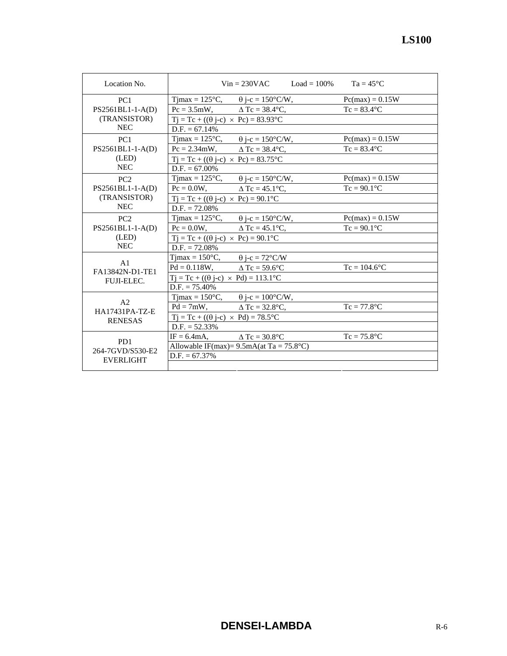| ation No.       |                                       | $Vin = 230VAC$                                    | $Load = 100\%$ | $Ta = 45^{\circ}C$ |  |
|-----------------|---------------------------------------|---------------------------------------------------|----------------|--------------------|--|
| PC <sub>1</sub> | $T$ jmax = 125 $\mathrm{^{\circ}C}$ , | $\theta$ j-c = 150°C/W,                           |                | $Pc(max) = 0.15W$  |  |
| $BL1-I-A(D)$    | $Pc = 3.5mW$ ,                        | $\Delta$ Tc = 38.4 $\degree$ C,                   |                | $Tc = 83.4$ °C     |  |
| NSISTOR)        |                                       | $Tj = Tc + ((\theta j - c) \times Pc) = 83.93$ °C |                |                    |  |
| NEC             | $D.F. = 67.14\%$                      |                                                   |                |                    |  |
| PC1             | $T$ jmax = 125 $\degree$ C,           | $\theta$ i-c = 150°C/W,                           |                | $Pc(max) = 0.15W$  |  |
| $BL1-I-A(D)$    | $Pc = 2.34$ mW,                       | $\Delta$ Tc = 38.4 $\degree$ C,                   |                | $Tc = 83.4$ °C     |  |
| (LED)           |                                       | $Tj = Tc + ((\theta j - c) \times Pc) = 83.75$ °C |                |                    |  |
| NEC             | $D.F. = 67.00\%$                      |                                                   |                |                    |  |
| PC2             | $T$ jmax = 125 $\mathrm{^{\circ}C}$ , | $\theta$ j-c = 150°C/W,                           |                | $Pc(max) = 0.15W$  |  |
| $BL1-I-A(D)$    | $Pc = 0.0W$ ,                         | $\triangle$ Tc = 45.1 $\degree$ C.                |                | $Tc = 90.1$ °C     |  |
| NSISTOR)        |                                       | $Tj = Tc + ((\theta j - c) \times Pc) = 90.1$ °C  |                |                    |  |
| NEC             | $D.F. = 72.08\%$                      |                                                   |                |                    |  |
| PC2             | $Timax = 125$ °C.                     | $\theta$ i-c = 150°C/W.                           |                | $Pc(max) = 0.15W$  |  |

| PC <sub>2</sub>                      | $T$ jmax = 125 $\mathrm{^{\circ}C}$ ,                | $\theta$ j-c = 150°C/W,                               | $Pc(max) = 0.15W$ |
|--------------------------------------|------------------------------------------------------|-------------------------------------------------------|-------------------|
| PS2561BL1-1-A(D)                     | $Pc = 0.0W$ ,                                        | $\Delta$ Tc = 45.1°C,                                 | $Tc = 90.1$ °C    |
| (TRANSISTOR)                         | $Tj = Tc + ((\theta j - c) \times Pc) = 90.1$ °C     |                                                       |                   |
| <b>NEC</b>                           | $D.F. = 72.08\%$                                     |                                                       |                   |
| PC <sub>2</sub>                      | Timax = $125^{\circ}$ C,                             | $\theta$ j-c = 150°C/W,                               | $Pc(max) = 0.15W$ |
| PS2561BL1-1-A(D)                     | $Pc = 0.0W$ ,                                        | $\Delta$ Tc = 45.1°C.                                 | $Tc = 90.1$ °C    |
| (LED)                                | $Tj = Tc + ((\theta j - c) \times Pc) = 90.1$ °C     |                                                       |                   |
| <b>NEC</b>                           | $D.F. = 72.08\%$                                     |                                                       |                   |
|                                      | $T$ jmax = 150 $^{\circ}$ C,                         | $\theta$ j-c = 72°C/W                                 |                   |
| A1<br>FA13842N-D1-TE1                | $Pd = 0.118W$ , $\Delta Tc = 59.6^{\circ}C$          |                                                       | $Tc = 104.6$ °C   |
| <b>FUJI-ELEC.</b>                    | $Tj = Tc + ((\theta j - c) \times Pd) = 113.1$ °C    |                                                       |                   |
|                                      | $D.F. = 75.40\%$                                     |                                                       |                   |
|                                      | $T$ jmax = 150 $\degree$ C,                          | $\theta$ j-c = 100°C/W,                               |                   |
| A <sub>2</sub><br>HA17431PA-TZ-E     | $Pd = 7mW$ ,                                         | $\Delta$ Tc = 32.8°C.                                 | $Tc = 77.8$ °C    |
| <b>RENESAS</b>                       | $Tj = Tc + ((\theta j-c) \times Pd) = 78.5^{\circ}C$ |                                                       |                   |
|                                      | $D.F. = 52.33\%$                                     |                                                       |                   |
|                                      | $IF = 6.4mA$ ,                                       | $\triangle$ Tc = 30.8°C                               | $Tc = 75.8$ °C    |
| P <sub>D</sub> 1<br>264-7GVD/S530-E2 |                                                      | Allowable IF(max)= $9.5mA$ (at Ta = $75.8^{\circ}C$ ) |                   |
| <b>EVERLIGHT</b>                     | $D.F. = 67.37\%$                                     |                                                       |                   |
|                                      |                                                      |                                                       |                   |

Location No.

PC1 PS2561BL1-1-A(D) (TRANSISTOR)

PC<sub>1</sub> PS2561BL1-1-A(D) (LED)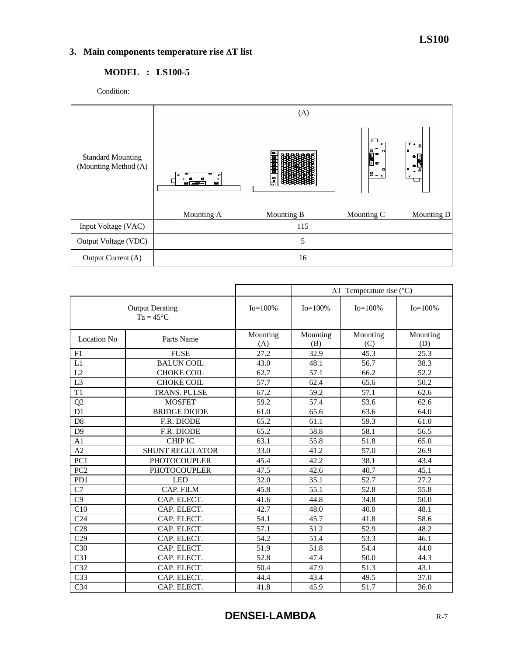# **3. Main components temperature rise** ∆**T list**

# **MODEL : LS100-5**

Condition:



|                                              |                        |                   | $\Delta T$ Temperature rise (°C) |                   |                   |  |
|----------------------------------------------|------------------------|-------------------|----------------------------------|-------------------|-------------------|--|
| <b>Output Derating</b><br>$Ta = 45^{\circ}C$ |                        | $Io = 100\%$      | $Io = 100\%$                     | $Io = 100\%$      | $Io = 100\%$      |  |
| <b>Location No</b>                           | Parts Name             | Mounting<br>(A)   | Mounting<br>(B)                  | Mounting<br>(C)   | Mounting<br>(D)   |  |
| F1                                           | <b>FUSE</b>            | 27.2              | 32.9                             | 45.3              | $\overline{25.3}$ |  |
| L1                                           | <b>BALUN COIL</b>      | 43.0              | 48.1                             | 56.7              | 38.3              |  |
| L2                                           | <b>CHOKE COIL</b>      | 62.7              | 57.1                             | 66.2              | 52.2              |  |
| $\overline{L3}$                              | <b>CHOKE COIL</b>      | 57.7              | 62.4                             | 65.6              | $\overline{50.2}$ |  |
| T1                                           | <b>TRANS. PULSE</b>    | 67.2              | 59.2                             | 57.1              | 62.6              |  |
| Q2                                           | <b>MOSFET</b>          | 59.2              | 57.4                             | 53.6              | 62.6              |  |
| D <sub>1</sub>                               | <b>BRIDGE DIODE</b>    | 61.0              | 65.6                             | 63.6              | 64.0              |  |
| D <sub>8</sub>                               | F.R. DIODE             | 65.2              | 61.1                             | 59.3              | 61.0              |  |
| D <sub>9</sub>                               | F.R. DIODE             | 65.2              | 58.8                             | 58.1              | 56.5              |  |
| A <sub>1</sub>                               | <b>CHIP IC</b>         | 63.1              | 55.8                             | 51.8              | 65.0              |  |
| A2                                           | <b>SHUNT REGULATOR</b> | 33.0              | 41.2                             | 57.0              | 26.9              |  |
| PC1                                          | <b>PHOTOCOUPLER</b>    | 45.4              | 42.2                             | 38.1              | 43.4              |  |
| PC <sub>2</sub>                              | <b>PHOTOCOUPLER</b>    | 47.5              | 42.6                             | 40.7              | 45.1              |  |
| PD1                                          | <b>LED</b>             | 32.0              | 35.1                             | 52.7              | 27.2              |  |
| C7                                           | CAP. FILM              | 45.8              | 55.1                             | 52.8              | 55.8              |  |
| C9                                           | CAP. ELECT.            | 41.6              | 44.8                             | 34.8              | 50.0              |  |
| C10                                          | CAP. ELECT.            | 42.7              | 48.0                             | 40.0              | 48.1              |  |
| C <sub>24</sub>                              | CAP. ELECT.            | 54.1              | 45.7                             | 41.8              | 58.6              |  |
| C28                                          | CAP. ELECT.            | 57.1              | 51.2                             | 52.9              | 48.2              |  |
| $\overline{C29}$                             | CAP. ELECT.            | $\overline{54.2}$ | 51.4                             | $\overline{53.3}$ | 46.1              |  |
| C <sub>30</sub>                              | CAP. ELECT.            | 51.9              | 51.8                             | 54.4              | 44.0              |  |
| C <sub>31</sub>                              | CAP. ELECT.            | 52.8              | 47.4                             | 50.0              | 44.3              |  |
| C32                                          | CAP. ELECT.            | 50.4              | 47.9                             | 51.3              | 43.1              |  |
| C <sub>33</sub>                              | CAP. ELECT.            | 44.4              | 43.4                             | 49.5              | 37.0              |  |
| C <sub>34</sub>                              | CAP. ELECT.            | 41.8              | 45.9                             | 51.7              | 36.0              |  |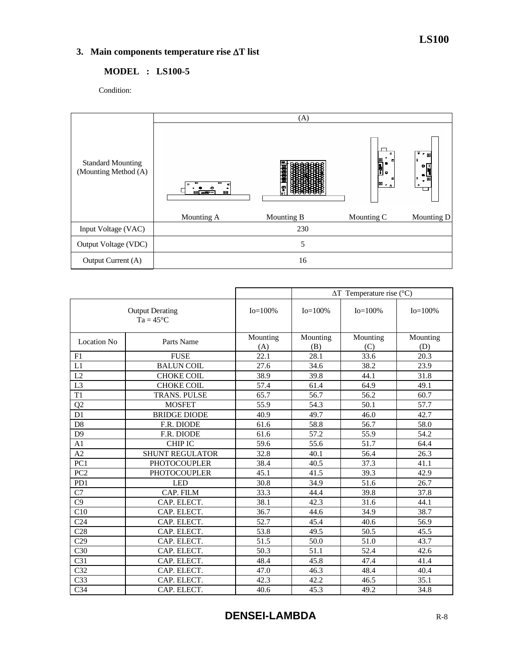# **3. Main components temperature rise** ∆**T list**

# **MODEL : LS100-5**

Condition:



|                                              |                        | $\Delta T$ Temperature rise (°C) |                 |                  |                 |
|----------------------------------------------|------------------------|----------------------------------|-----------------|------------------|-----------------|
| <b>Output Derating</b><br>$Ta = 45^{\circ}C$ |                        | $Io = 100\%$                     | $Io = 100\%$    | $Io = 100\%$     | $Io = 100\%$    |
| <b>Location No</b>                           | Parts Name             | Mounting<br>(A)                  | Mounting<br>(B) | Mounting<br>(C)  | Mounting<br>(D) |
| F1                                           | <b>FUSE</b>            | 22.1                             | 28.1            | 33.6             | 20.3            |
| L1                                           | <b>BALUN COIL</b>      | 27.6                             | 34.6            | 38.2             | 23.9            |
| L2                                           | <b>CHOKE COIL</b>      | 38.9                             | 39.8            | 44.1             | 31.8            |
| L <sub>3</sub>                               | <b>CHOKE COIL</b>      | 57.4                             | 61.4            | 64.9             | 49.1            |
| T1                                           | TRANS. PULSE           | 65.7                             | 56.7            | 56.2             | 60.7            |
| Q2                                           | <b>MOSFET</b>          | 55.9                             | 54.3            | 50.1             | 57.7            |
| D1                                           | <b>BRIDGE DIODE</b>    | 40.9                             | 49.7            | 46.0             | 42.7            |
| D <sub>8</sub>                               | F.R. DIODE             | 61.6                             | 58.8            | 56.7             | 58.0            |
| D <sub>9</sub>                               | F.R. DIODE             | 61.6                             | 57.2            | 55.9             | 54.2            |
| A <sub>1</sub>                               | <b>CHIP IC</b>         | 59.6                             | 55.6            | 51.7             | 64.4            |
| A2                                           | <b>SHUNT REGULATOR</b> | 32.8                             | 40.1            | 56.4             | 26.3            |
| PC <sub>1</sub>                              | <b>PHOTOCOUPLER</b>    | 38.4                             | 40.5            | 37.3             | 41.1            |
| PC <sub>2</sub>                              | <b>PHOTOCOUPLER</b>    | 45.1                             | 41.5            | 39.3             | 42.9            |
| PD1                                          | <b>LED</b>             | 30.8                             | 34.9            | $\frac{1}{51.6}$ | 26.7            |
| C7                                           | CAP. FILM              | 33.3                             | 44.4            | 39.8             | 37.8            |
| C9                                           | CAP. ELECT.            | 38.1                             | 42.3            | 31.6             | 44.1            |
| C10                                          | CAP. ELECT.            | 36.7                             | 44.6            | 34.9             | 38.7            |
| C <sub>24</sub>                              | CAP. ELECT.            | 52.7                             | 45.4            | 40.6             | 56.9            |
| C28                                          | CAP. ELECT.            | 53.8                             | 49.5            | 50.5             | 45.5            |
| C29                                          | CAP. ELECT.            | 51.5                             | 50.0            | 51.0             | 43.7            |
| C30                                          | CAP. ELECT.            | 50.3                             | 51.1            | 52.4             | 42.6            |
| C31                                          | CAP. ELECT.            | 48.4                             | 45.8            | 47.4             | 41.4            |
| C <sub>32</sub>                              | CAP. ELECT.            | 47.0                             | 46.3            | 48.4             | 40.4            |
| C <sub>33</sub>                              | CAP. ELECT.            | 42.3                             | 42.2            | 46.5             | 35.1            |
| C <sub>34</sub>                              | CAP. ELECT.            | 40.6                             | 45.3            | 49.2             | 34.8            |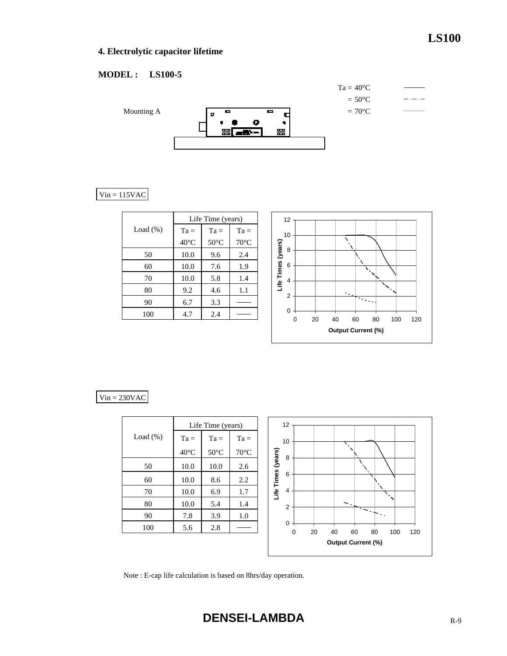# **LS100**

# **4. Electrolytic capacitor lifetime**

# **MODEL : LS100-5**



# $Vin = 115VAC$

|             | Life Time (years) |                |                |  |  |
|-------------|-------------------|----------------|----------------|--|--|
| Load $(\%)$ | $Ta =$<br>$Ta =$  |                | $Ta =$         |  |  |
|             | $40^{\circ}$ C    | $50^{\circ}$ C | $70^{\circ}$ C |  |  |
| 50          | 10.0              | 9.6            | 2.4            |  |  |
| 60          | 10.0              | 7.6            | 1.9            |  |  |
| 70          | 10.0              | 5.8            | 1.4            |  |  |
| 80          | 9.2               | 4.6            | 1.1            |  |  |
| 90          | 6.7               | 3.3            |                |  |  |
| 100         | 4.7               | 2.4            |                |  |  |



## $Vin = 230VAC$

|             |                | Life Time (years) |                | 12                 |             |    |          |                           |          |     |     |
|-------------|----------------|-------------------|----------------|--------------------|-------------|----|----------|---------------------------|----------|-----|-----|
| Load $(\%)$ | $Ta =$         | $Ta =$            | $Ta =$         | 10                 |             |    |          |                           |          |     |     |
|             | $40^{\circ}$ C | $50^{\circ}$ C    | $70^{\circ}$ C | 8                  |             |    |          |                           |          |     |     |
| 50          | 10.0           | 10.0              | 2.6            | Life Times (years) |             |    |          |                           |          |     |     |
| 60          | 10.0           | 8.6               | 2.2            | 6                  |             |    |          |                           |          |     |     |
| 70          | 10.0           | 6.9               | 1.7            | $\overline{4}$     |             |    |          |                           |          |     |     |
| 80          | 10.0           | 5.4               | 1.4            | $\overline{2}$     |             |    | $\sim$ . |                           |          |     |     |
| 90          | 7.8            | 3.9               | 1.0            |                    |             |    |          |                           | $\sim$ . |     |     |
| 100         | 5.6            | 2.8               |                | $\mathbf 0$        | $\mathbf 0$ | 20 | 40       | 60                        | 80       | 100 | 120 |
|             |                |                   |                |                    |             |    |          | <b>Output Current (%)</b> |          |     |     |

Note : E-cap life calculation is based on 8hrs/day operation.

**DENSEI-LAMBDA** R-9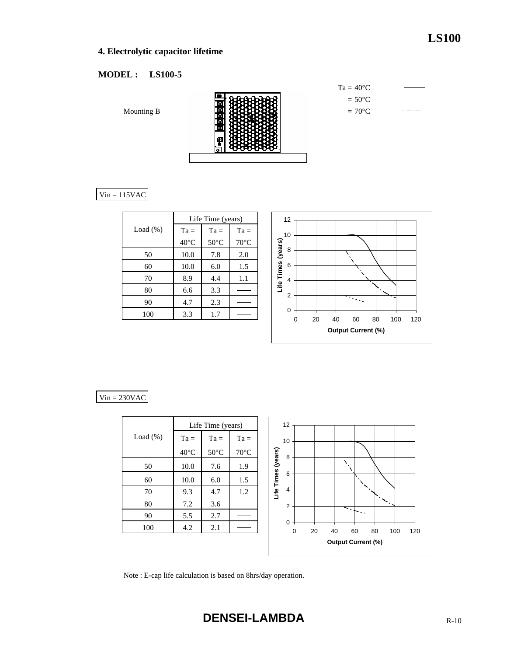# **4. Electrolytic capacitor lifetime**

# **MODEL : LS100-5**

Mounting B



| $Ta = 40^{\circ}C$ |  |
|--------------------|--|
| $= 50^{\circ}$ C   |  |
| $=70^{\circ}$ C    |  |

 $Vin = 115VAC$ 

|             | Life Time (years) |                |                |  |  |  |  |
|-------------|-------------------|----------------|----------------|--|--|--|--|
| Load $(\%)$ | $Ta =$            | $Ta =$         | $Ta =$         |  |  |  |  |
|             | $40^{\circ}$ C    | $50^{\circ}$ C | $70^{\circ}$ C |  |  |  |  |
| 50          | 10.0              | 7.8            | 2.0            |  |  |  |  |
| 60          | 10.0              | 6.0            | 1.5            |  |  |  |  |
| 70          | 8.9               | 4.4            | 1.1            |  |  |  |  |
| 80          | 6.6               | 3.3            |                |  |  |  |  |
| 90          | 4.7               | 2.3            |                |  |  |  |  |
| 100         | 3.3               | 1.7            |                |  |  |  |  |
|             |                   |                |                |  |  |  |  |



# $Vin = 230VAC$

|             |                | Life Time (years) |                | 12                                                     |
|-------------|----------------|-------------------|----------------|--------------------------------------------------------|
| Load $(\%)$ | $Ta =$         | $Ta =$            | $Ta =$         | 10                                                     |
|             | $40^{\circ}$ C | $50^{\circ}$ C    | $70^{\circ}$ C | 8                                                      |
| 50          | 10.0           | 7.6               | 1.9            | Life Times (years)                                     |
| 60          | 10.0           | 6.0               | 1.5            | 6                                                      |
| 70          | 9.3            | 4.7               | 1.2            | $\overline{4}$                                         |
| 80          | 7.2            | 3.6               |                | $\overline{2}$<br>$\leq$ .                             |
| 90          | 5.5            | 2.7               |                | ∼.,                                                    |
| 100         | 4.2            | 2.1               |                | $\mathbf 0$<br>60<br>80<br>100<br>120<br>0<br>20<br>40 |
|             |                |                   |                | <b>Output Current (%)</b>                              |

Note : E-cap life calculation is based on 8hrs/day operation.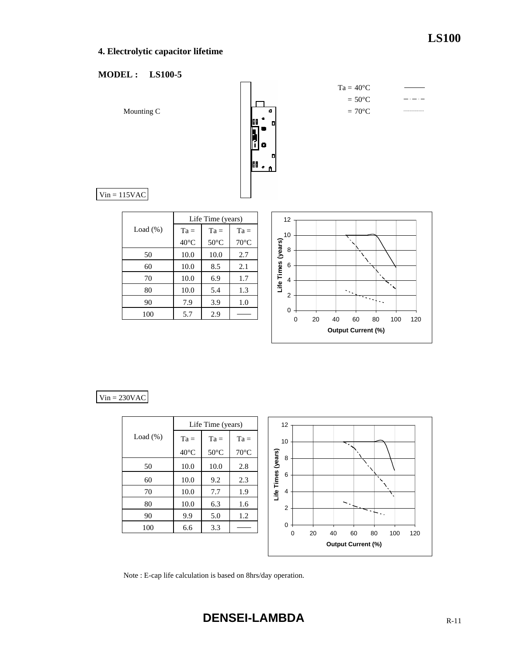# **4. Electrolytic capacitor lifetime**

## **MODEL : LS100-5**



## $Vin = 230VAC$

|             | Life Time (years) |                |                |                    |
|-------------|-------------------|----------------|----------------|--------------------|
| Load $(\%)$ | $Ta =$            | $Ta =$         | $Ta =$         |                    |
|             | $40^{\circ}$ C    | $50^{\circ}$ C | $70^{\circ}$ C |                    |
| 50          | 10.0              | 10.0           | 2.8            | Life Times (vears) |
| 60          | 10.0              | 9.2            | 2.3            |                    |
| 70          | 10.0              | 7.7            | 1.9            |                    |
| 80          | 10.0              | 6.3            | 1.6            |                    |
| 90          | 9.9               | 5.0            | 1.2            |                    |
| 100         | 6.6               | 3.3            |                |                    |
|             |                   |                |                |                    |



Note : E-cap life calculation is based on 8hrs/day operation.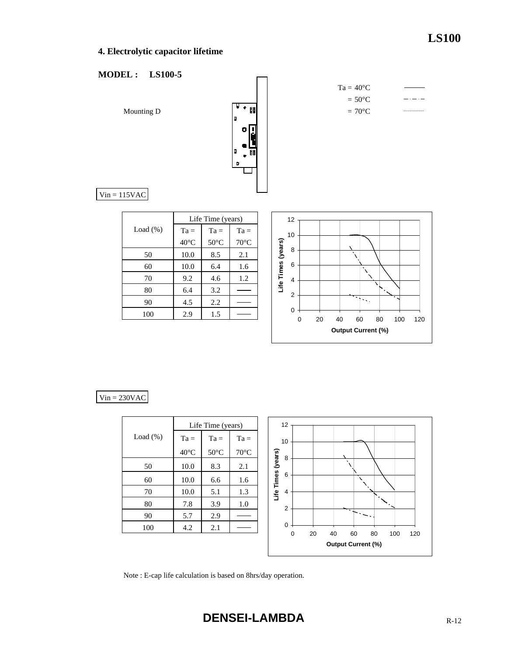# **4. Electrolytic capacitor lifetime**

# **MODEL : LS100-5**



|             |                | Life Time (years) |                |
|-------------|----------------|-------------------|----------------|
| Load $(\%)$ | $Ta =$         | $Ta =$            | $Ta =$         |
|             | $40^{\circ}$ C | $50^{\circ}$ C    | $70^{\circ}$ C |
| 50          | 10.0           | 8.5               | 2.1            |
| 60          | 10.0           | 6.4               | 1.6            |
| 70          | 9.2            | 4.6               | 1.2            |
| 80          | 6.4            | 3.2               |                |
| 90          | 4.5            | 2.2               |                |
| 100         | 2.9            | 1.5               |                |
|             |                |                   |                |



## $Vin = 230VAC$

|             | Life Time (years) |                |                |  |                    | 12             |   |    |                           |    |    |
|-------------|-------------------|----------------|----------------|--|--------------------|----------------|---|----|---------------------------|----|----|
| Load $(\%)$ | $Ta =$            | $Ta =$         | $Ta =$         |  |                    | 10             |   |    |                           |    |    |
|             | $40^{\circ}$ C    | $50^{\circ}$ C | $70^{\circ}$ C |  |                    | 8              |   |    |                           |    |    |
| 50          | 10.0              | 8.3            | 2.1            |  | Life Times (years) |                |   |    | $\cdot$                   |    |    |
| 60          | 10.0              | 6.6            | 1.6            |  |                    | 6              |   |    |                           |    |    |
| 70          | 10.0              | 5.1            | 1.3            |  |                    | $\overline{4}$ |   |    |                           |    |    |
| 80          | 7.8               | 3.9            | 1.0            |  |                    | $\overline{2}$ |   |    |                           |    | ٠. |
| 90          | 5.7               | 2.9            |                |  |                    |                |   |    |                           |    |    |
| 100         | 4.2               | 2.1            |                |  |                    | $\mathbf 0$    |   |    |                           |    |    |
|             |                   |                |                |  |                    |                | 0 | 20 | 40                        | 60 | 80 |
|             |                   |                |                |  |                    |                |   |    | <b>Output Current (%)</b> |    |    |

Note : E-cap life calculation is based on 8hrs/day operation.

100 120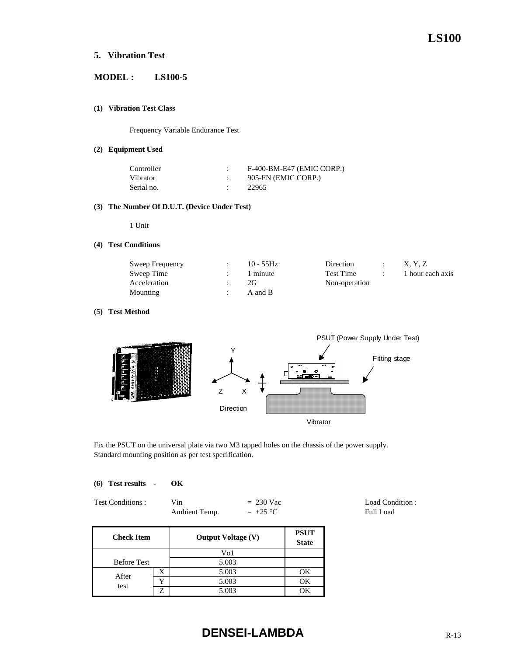## **5. Vibration Test**

# **MODEL : LS100-5**

#### **(1) Vibration Test Class**

Frequency Variable Endurance Test

#### **(2) Equipment Used**

| Controller | F-400-BM-E47 (EMIC CORP.) |
|------------|---------------------------|
| Vibrator   | 905-FN (EMIC CORP.)       |
| Serial no. | 22965                     |

#### **(3) The Number Of D.U.T. (Device Under Test)**

1 Unit

#### **(4) Test Conditions**

| Sweep Frequency | $10 - 55$ Hz | Direction     | X. Y. Z          |
|-----------------|--------------|---------------|------------------|
| Sweep Time      | 1 minute     | Test Time     | 1 hour each axis |
| Acceleration    | 2G           | Non-operation |                  |
| Mounting        | A and B      |               |                  |

#### **(5) Test Method**



Fix the PSUT on the universal plate via two M3 tapped holes on the chassis of the power supply. Standard mounting position as per test specification.

|  | (6) Test results | OК |
|--|------------------|----|
|  |                  |    |

| Test Conditions: | Vin           | $= 230$ Vac |
|------------------|---------------|-------------|
|                  | Ambient Temp. | $= +25 °C$  |

**PSUT State** Before Test X | 5.003 | OK  $Y = 5.003$  OK Z 5.003 OK **Check Item** Vo1 5.003 **Output Voltage (V)** After

# **DENSEI-LAMBDA** R-13

Load Condition : Full Load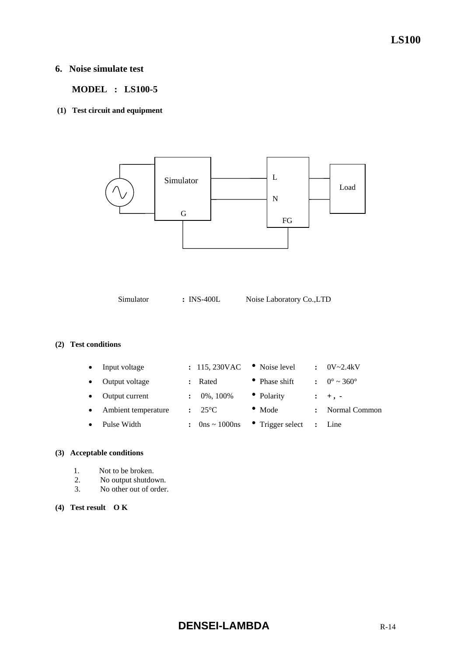# **LS100**

# **6. Noise simulate test**

 **MODEL : LS100-5** 

 **(1) Test circuit and equipment** 



Simulator **:** INS-400L Noise Laboratory Co.,LTD

## **(2) Test conditions**

| Input voltage       |                      | : 115,230VAC    | • Noise level    |                | $0V - 2.4kV$                 |
|---------------------|----------------------|-----------------|------------------|----------------|------------------------------|
| Output voltage      | $\mathbf{r}$         | Rated           | • Phase shift    |                | $0^{\circ} \sim 360^{\circ}$ |
| Output current      |                      | 0%, 100%        | • Polarity       |                | $: +$ , $-$                  |
| Ambient temperature | $\ddot{\phantom{a}}$ | $25^{\circ}$ C  | $\bullet$ Mode   |                | Normal Common                |
| Pulse Width         | $\ddot{\phantom{0}}$ | $0$ ns ~ 1000ns | • Trigger select | $\ddot{\cdot}$ | Line                         |
|                     |                      |                 |                  |                |                              |

# **(3) Acceptable conditions**

- 1. Not to be broken.
- 2. No output shutdown.
- 3. No other out of order.

## **(4) Test result O K**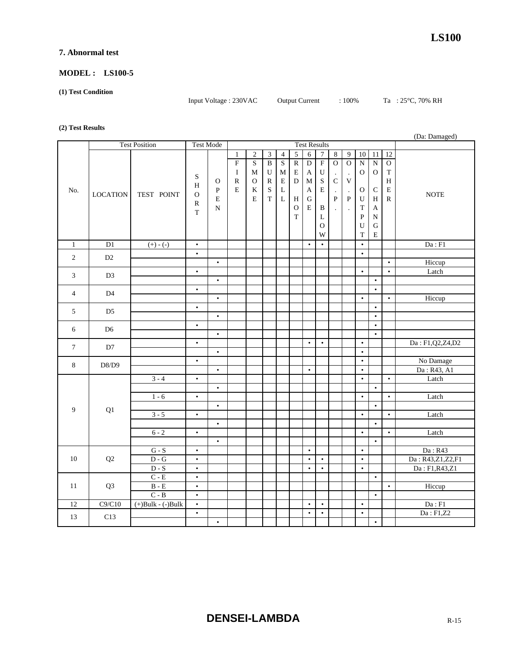## **7. Abnormal test**

## **MODEL : LS100-5**

#### **(1) Test Condition**

Input Voltage : 230VAC Output Current : 100% Ta : 25°C, 70% RH

#### **(2) Test Results**

|                      |                 |                             |              |              |                |                |                |                         |                |                     |                  |              | (Da: Damaged)        |                 |                 |                           |                  |
|----------------------|-----------------|-----------------------------|--------------|--------------|----------------|----------------|----------------|-------------------------|----------------|---------------------|------------------|--------------|----------------------|-----------------|-----------------|---------------------------|------------------|
| <b>Test Position</b> |                 | <b>Test Mode</b>            |              |              |                |                |                |                         |                | <b>Test Results</b> |                  |              |                      |                 |                 |                           |                  |
|                      |                 |                             |              |              | $\mathbf{1}$   | $\overline{2}$ | $\overline{3}$ | $\overline{4}$          | $\overline{5}$ | $\overline{6}$      | $\boldsymbol{7}$ | $\bf 8$      | $\overline{9}$       | $\overline{10}$ | $\overline{11}$ | $\overline{12}$           |                  |
|                      |                 |                             |              |              | $\overline{F}$ | $\mathbf S$    | $\overline{B}$ | $\overline{\mathbf{S}}$ | $\overline{R}$ | $\overline{D}$      | $\overline{F}$   | $\mathbf O$  | $\overline{0}$       | $\overline{N}$  | $\overline{N}$  | $\overline{O}$            |                  |
|                      |                 |                             |              |              | $\bf I$        | M              | U              | M                       | E              | A                   | ${\bf U}$        |              | $\cdot$              | $\mathbf O$     | $\mathbf O$     | $\mathbf T$               |                  |
|                      |                 |                             | S            | $\mathbf O$  | ${\bf R}$      | $\mathbf O$    | ${\bf R}$      | ${\bf E}$               | $\mathbf D$    | $\mathbf{M}$        | ${\bf S}$        | $\mathbf C$  | $\mathbf V$          |                 |                 | $\boldsymbol{\mathrm{H}}$ |                  |
| No.                  |                 |                             | H            | $\, {\bf P}$ | E              | K              | ${\bf S}$      | L                       |                | A                   | $\mathbf E$      | $\cdot$      | $\ddot{\phantom{a}}$ | $\mathbf{O}$    | $\mathsf C$     | ${\bf E}$                 |                  |
|                      | <b>LOCATION</b> | TEST POINT                  | $\mathbf{O}$ | $\mathbf E$  |                | $\mathbf E$    | $\mathbf T$    | $\overline{\mathbf{L}}$ | H              | $\mathbf G$         |                  | $\mathbf{P}$ | $\, {\bf P}$         | U               | H               | $\, {\bf R}$              | <b>NOTE</b>      |
|                      |                 |                             | $\mathbb{R}$ | N            |                |                |                |                         | $\mathbf{O}$   | E                   | B                |              |                      | T               | $\mathbf{A}$    |                           |                  |
|                      |                 |                             | T            |              |                |                |                |                         | $\bar{T}$      |                     | L                |              |                      | $\overline{P}$  | N               |                           |                  |
|                      |                 |                             |              |              |                |                |                |                         |                |                     | $\mathbf{O}$     |              |                      | U               | ${\bf G}$       |                           |                  |
|                      |                 |                             |              |              |                |                |                |                         |                |                     | W                |              |                      | T               | E               |                           |                  |
| $\mathbf{1}$         | $\overline{D1}$ | $(+) - (-)$                 | $\bullet$    |              |                |                |                |                         |                | $\bullet$           | $\bullet$        |              |                      | $\bullet$       |                 |                           | Da : F1          |
| $\overline{2}$       | D2              |                             | $\bullet$    |              |                |                |                |                         |                |                     |                  |              |                      | $\bullet$       |                 |                           |                  |
|                      |                 |                             |              | $\bullet$    |                |                |                |                         |                |                     |                  |              |                      |                 |                 | $\bullet$                 | Hiccup           |
| 3                    | D <sub>3</sub>  |                             | $\bullet$    |              |                |                |                |                         |                |                     |                  |              |                      | $\bullet$       |                 | $\bullet$                 | Latch            |
|                      |                 |                             |              | $\bullet$    |                |                |                |                         |                |                     |                  |              |                      |                 | $\bullet$       |                           |                  |
| $\overline{4}$       | D <sub>4</sub>  |                             | $\bullet$    |              |                |                |                |                         |                |                     |                  |              |                      |                 | $\bullet$       |                           |                  |
|                      |                 |                             |              | $\bullet$    |                |                |                |                         |                |                     |                  |              |                      | $\bullet$       |                 | $\bullet$                 | Hiccup           |
| 5                    | D <sub>5</sub>  |                             | $\bullet$    |              |                |                |                |                         |                |                     |                  |              |                      |                 | $\bullet$       |                           |                  |
|                      |                 |                             |              | $\bullet$    |                |                |                |                         |                |                     |                  |              |                      |                 | $\bullet$       |                           |                  |
| 6                    | D <sub>6</sub>  |                             | $\bullet$    |              |                |                |                |                         |                |                     |                  |              |                      |                 | $\bullet$       |                           |                  |
|                      |                 |                             |              | $\bullet$    |                |                |                |                         |                |                     |                  |              |                      |                 | $\bullet$       |                           |                  |
| $\tau$               | D7              |                             | $\bullet$    |              |                |                |                |                         |                | $\bullet$           | $\bullet$        |              |                      | $\bullet$       |                 |                           | Da: F1,Q2,Z4,D2  |
|                      |                 |                             |              | $\bullet$    |                |                |                |                         |                |                     |                  |              |                      | $\bullet$       |                 |                           |                  |
| $\,8\,$              | D8/D9           |                             | $\bullet$    |              |                |                |                |                         |                |                     |                  |              |                      | $\bullet$       |                 |                           | No Damage        |
|                      |                 |                             |              | $\bullet$    |                |                |                |                         |                | $\bullet$           |                  |              |                      | $\bullet$       |                 |                           | Da: R43, A1      |
|                      |                 | $3 - 4$                     | $\bullet$    |              |                |                |                |                         |                |                     |                  |              |                      | $\bullet$       |                 | $\bullet$                 | Latch            |
|                      |                 |                             |              | $\bullet$    |                |                |                |                         |                |                     |                  |              |                      |                 | $\bullet$       |                           |                  |
|                      |                 | $1 - 6$                     | $\bullet$    |              |                |                |                |                         |                |                     |                  |              |                      | $\bullet$       |                 | $\bullet$                 | Latch            |
| 9                    | Q1              |                             |              | $\bullet$    |                |                |                |                         |                |                     |                  |              |                      |                 | $\bullet$       |                           |                  |
|                      |                 | $3 - 5$                     | $\bullet$    |              |                |                |                |                         |                |                     |                  |              |                      | $\bullet$       |                 | $\bullet$                 | Latch            |
|                      |                 |                             |              | $\bullet$    |                |                |                |                         |                |                     |                  |              |                      |                 | $\bullet$       |                           |                  |
|                      |                 | $6 - 2$                     | $\bullet$    |              |                |                |                |                         |                |                     |                  |              |                      | $\bullet$       |                 | $\bullet$                 | Latch            |
|                      |                 |                             |              | $\bullet$    |                |                |                |                         |                |                     |                  |              |                      |                 | $\bullet$       |                           |                  |
| 10                   |                 | $G-S$                       | $\bullet$    |              |                |                |                |                         |                | $\bullet$           |                  |              |                      | $\bullet$       |                 |                           | Da: R43          |
|                      | Q2              | $\mathbf{D}$ - $\mathbf{G}$ | $\bullet$    |              |                |                |                |                         |                | $\bullet$           | $\bullet$        |              |                      | $\bullet$       |                 |                           | Da: R43,Z1,Z2,F1 |
|                      |                 | $D-S$                       | $\bullet$    |              |                |                |                |                         |                | $\bullet$           | $\bullet$        |              |                      | $\bullet$       |                 |                           | Da: F1,R43,Z1    |
| 11                   |                 | $C - E$                     | $\bullet$    |              |                |                |                |                         |                |                     |                  |              |                      |                 | $\bullet$       |                           |                  |
|                      | Q <sub>3</sub>  | $\mathbf B$ - $\mathbf E$   | $\bullet$    |              |                |                |                |                         |                |                     |                  |              |                      |                 |                 | $\bullet$                 | Hiccup           |
|                      |                 | $C - B$                     | $\bullet$    |              |                |                |                |                         |                |                     |                  |              |                      |                 | $\bullet$       |                           |                  |
| $\overline{12}$      | C9/C10          | $(+)$ Bulk - $(-)$ Bulk     | $\bullet$    |              |                |                |                |                         |                | $\bullet$           | $\bullet$        |              |                      | $\bullet$       |                 |                           | Da : F1          |
| 13                   | C13             |                             | $\bullet$    |              |                |                |                |                         |                | $\bullet$           | $\bullet$        |              |                      | $\bullet$       |                 |                           | Da: F1, Z2       |
|                      |                 |                             |              | $\bullet$    |                |                |                |                         |                |                     |                  |              |                      |                 | $\bullet$       |                           |                  |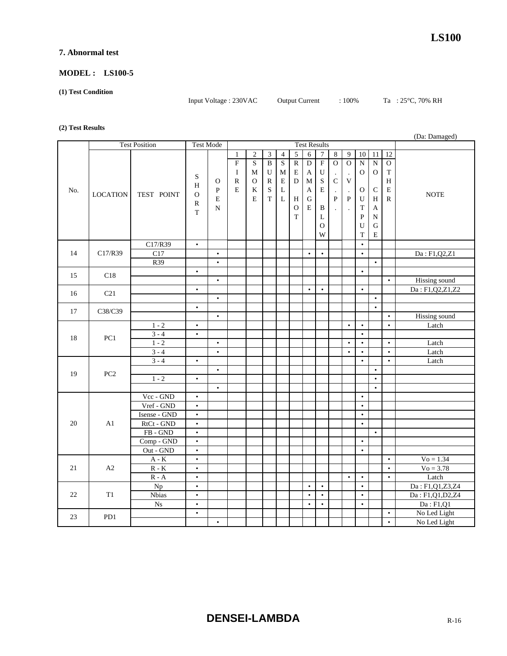## **7. Abnormal test**

## **MODEL : LS100-5**

#### **(1) Test Condition**

Input Voltage : 230VAC Output Current : 100% Ta : 25°C, 70% RH

#### **(2) Test Results**

|     |                      |                             |                  |              |                |                     |                |                |                |                |                |              | (Da: Damaged)        |                 |                 |                 |                      |
|-----|----------------------|-----------------------------|------------------|--------------|----------------|---------------------|----------------|----------------|----------------|----------------|----------------|--------------|----------------------|-----------------|-----------------|-----------------|----------------------|
|     | <b>Test Position</b> |                             | <b>Test Mode</b> |              |                | <b>Test Results</b> |                |                |                |                |                |              |                      |                 |                 |                 |                      |
|     |                      |                             |                  |              | $\mathbf{1}$   | $\mathbf{2}$        | $\overline{3}$ | $\overline{4}$ | $\overline{5}$ | $\overline{6}$ | $\overline{7}$ | $\sqrt{8}$   | 9                    | $\overline{10}$ | $\overline{11}$ | $\overline{12}$ |                      |
|     |                      |                             |                  |              | $\overline{F}$ | S                   | $\overline{B}$ | ${\bf S}$      | $\overline{R}$ | $\overline{D}$ | $\overline{F}$ | $\mathbf O$  | $\mathbf O$          | ${\bf N}$       | $\overline{N}$  | $\mathbf O$     |                      |
|     |                      |                             |                  |              | $\bf{I}$       | M                   | U              | М              | E              | A              | ${\bf U}$      |              | $\cdot$              | $\mathbf{O}$    | $\mathbf O$     | $\rm T$         |                      |
|     |                      |                             | S                | $\mathbf{O}$ | ${\bf R}$      | $\mathbf{O}$        | R              | ${\bf E}$      | $\mathbf D$    | $\mathbf{M}$   | $\mathbf S$    | $\mathbf C$  | $\mathbf V$          |                 |                 | $\, {\rm H}$    |                      |
| No. |                      |                             | H                | $\, {\bf P}$ | E              | K                   | S              | L              |                | A              | E              | $\cdot$      | $\ddot{\phantom{a}}$ | 0               | $\mathsf{C}$    | $\mathbf E$     |                      |
|     | <b>LOCATION</b>      | TEST POINT                  | $\mathbf{O}$     | $\mathbf E$  |                | E                   | $\rm T$        | $\mathbf L$    | H              | $\mathbf G$    |                | $\mathbf{P}$ | $\mathbf{P}$         | U               | H               | ${\bf R}$       | <b>NOTE</b>          |
|     |                      |                             | $\mathbb{R}$     | $\mathbf N$  |                |                     |                |                | $\mathcal{O}$  | E              | B              |              |                      | T               | A               |                 |                      |
|     |                      |                             | T                |              |                |                     |                |                | $\mathbf T$    |                | L              |              |                      | $\mathbf{P}$    | N               |                 |                      |
|     |                      |                             |                  |              |                |                     |                |                |                |                | $\mathbf{O}$   |              |                      | U               | ${\bf G}$       |                 |                      |
|     |                      |                             |                  |              |                |                     |                |                |                |                | W              |              |                      | $\mathbf T$     | E               |                 |                      |
|     |                      | C17/R39                     | $\bullet$        |              |                |                     |                |                |                |                |                |              |                      | $\bullet$       |                 |                 |                      |
| 14  | C17/R39              | C17                         |                  | $\bullet$    |                |                     |                |                |                | $\bullet$      | $\bullet$      |              |                      | $\bullet$       |                 |                 | Da: F1,Q2,Z1         |
|     |                      | R39                         |                  | $\bullet$    |                |                     |                |                |                |                |                |              |                      |                 | $\bullet$       |                 |                      |
| 15  | C18                  |                             | $\bullet$        |              |                |                     |                |                |                |                |                |              |                      | $\bullet$       |                 |                 |                      |
|     |                      |                             |                  | $\bullet$    |                |                     |                |                |                |                |                |              |                      |                 |                 | $\bullet$       | Hissing sound        |
| 16  | C21                  |                             | $\bullet$        |              |                |                     |                |                |                | $\bullet$      | $\bullet$      |              |                      | $\bullet$       |                 |                 | Da: F1,Q2,Z1,Z2      |
|     |                      |                             |                  | $\bullet$    |                |                     |                |                |                |                |                |              |                      |                 | $\bullet$       |                 |                      |
| 17  | C38/C39              |                             | $\bullet$        |              |                |                     |                |                |                |                |                |              |                      |                 | $\bullet$       |                 |                      |
|     |                      |                             |                  | $\bullet$    |                |                     |                |                |                |                |                |              |                      |                 |                 | $\bullet$       | <b>Hissing</b> sound |
| 18  | PC1                  | $1 - 2$                     | $\bullet$        |              |                |                     |                |                |                |                |                |              | $\bullet$            | $\bullet$       |                 | $\bullet$       | Latch                |
|     |                      | $3 - 4$                     | $\bullet$        |              |                |                     |                |                |                |                |                |              |                      | $\bullet$       |                 |                 |                      |
|     |                      | $1 - 2$                     |                  | $\bullet$    |                |                     |                |                |                |                |                |              | $\bullet$            | $\bullet$       |                 | $\bullet$       | Latch                |
|     |                      | $3 - 4$                     |                  | $\bullet$    |                |                     |                |                |                |                |                |              | $\bullet$            | $\bullet$       |                 | $\bullet$       | Latch                |
|     | PC <sub>2</sub>      | $3 - 4$                     | $\bullet$        |              |                |                     |                |                |                |                |                |              |                      | $\bullet$       |                 | $\bullet$       | Latch                |
| 19  |                      |                             |                  | $\bullet$    |                |                     |                |                |                |                |                |              |                      |                 | $\bullet$       |                 |                      |
|     |                      | $1 - 2$                     | $\bullet$        |              |                |                     |                |                |                |                |                |              |                      |                 | $\bullet$       |                 |                      |
|     |                      |                             |                  | $\bullet$    |                |                     |                |                |                |                |                |              |                      |                 | $\bullet$       |                 |                      |
|     |                      | Vcc - GND                   | $\bullet$        |              |                |                     |                |                |                |                |                |              |                      | $\bullet$       |                 |                 |                      |
|     |                      | Vref - GND                  | $\bullet$        |              |                |                     |                |                |                |                |                |              |                      | $\bullet$       |                 |                 |                      |
|     |                      | Isense - GND                | $\bullet$        |              |                |                     |                |                |                |                |                |              |                      | $\bullet$       |                 |                 |                      |
| 20  | A1                   | RtCt - GND                  | $\bullet$        |              |                |                     |                |                |                |                |                |              |                      | $\bullet$       |                 |                 |                      |
|     |                      | $FB - GND$                  | $\bullet$        |              |                |                     |                |                |                |                |                |              |                      |                 | $\bullet$       |                 |                      |
|     |                      | Comp - GND                  | $\bullet$        |              |                |                     |                |                |                |                |                |              |                      | $\bullet$       |                 |                 |                      |
|     |                      | Out - GND                   | $\bullet$        |              |                |                     |                |                |                |                |                |              |                      | $\bullet$       |                 |                 |                      |
| 21  |                      | $\mathbf{A}$ - $\mathbf{K}$ | $\bullet$        |              |                |                     |                |                |                |                |                |              |                      |                 |                 | $\bullet$       | $V_0 = 1.34$         |
|     | $\rm A2$             | $\mathbb{R}$ - $\mathbb{K}$ | $\bullet$        |              |                |                     |                |                |                |                |                |              |                      |                 |                 | $\bullet$       | $V_0 = 3.78$         |
|     |                      | $R - A$                     | $\bullet$        |              |                |                     |                |                |                |                |                |              | $\bullet$            | $\bullet$       |                 | $\bullet$       | Latch                |
|     |                      | Np                          | $\bullet$        |              |                |                     |                |                |                | $\bullet$      | $\bullet$      |              |                      | $\bullet$       |                 |                 | Da: F1,Q1,Z3,Z4      |
| 22  | T1                   | Nbias                       | $\bullet$        |              |                |                     |                |                |                | $\bullet$      | $\bullet$      |              |                      | $\bullet$       |                 |                 | Da: F1,Q1,D2,Z4      |
|     |                      | N <sub>S</sub>              | $\bullet$        |              |                |                     |                |                |                | $\bullet$      | $\bullet$      |              |                      | $\bullet$       |                 |                 | Da: F1, Q1           |
| 23  | PD1                  |                             | $\bullet$        |              |                |                     |                |                |                |                |                |              |                      |                 |                 | $\bullet$       | No Led Light         |
|     |                      |                             |                  | $\bullet$    |                |                     |                |                |                |                |                |              |                      |                 |                 | $\bullet$       | No Led Light         |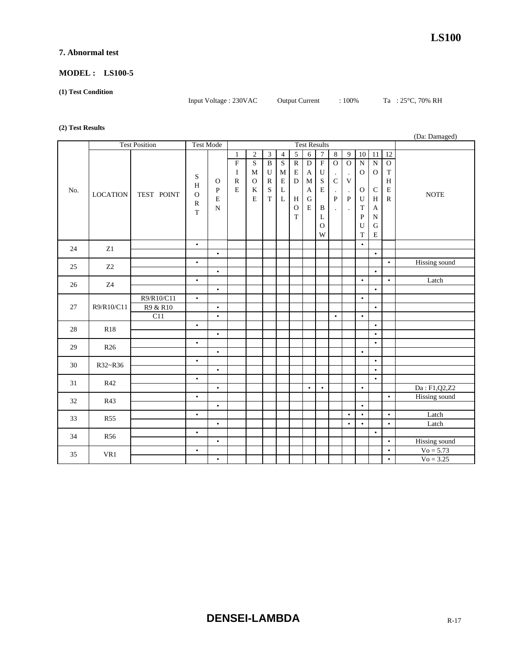## **7. Abnormal test**

## **MODEL : LS100-5**

#### **(1) Test Condition**

Input Voltage : 230VAC Output Current : 100% Ta : 25°C, 70% RH

#### **(2) Test Results**

|     |                      |                        |                                                         |                                                            |                                                                         |                                                                         |                                                                               |                                                                               |                                                                  |                                                                           |                                                                                                       |                                                                                           |                                                                                                                  |                                                                                                                |                                                                                                        | (Da: Damaged)                                                                               |                |
|-----|----------------------|------------------------|---------------------------------------------------------|------------------------------------------------------------|-------------------------------------------------------------------------|-------------------------------------------------------------------------|-------------------------------------------------------------------------------|-------------------------------------------------------------------------------|------------------------------------------------------------------|---------------------------------------------------------------------------|-------------------------------------------------------------------------------------------------------|-------------------------------------------------------------------------------------------|------------------------------------------------------------------------------------------------------------------|----------------------------------------------------------------------------------------------------------------|--------------------------------------------------------------------------------------------------------|---------------------------------------------------------------------------------------------|----------------|
|     | <b>Test Position</b> |                        | <b>Test Mode</b>                                        |                                                            |                                                                         |                                                                         |                                                                               |                                                                               |                                                                  |                                                                           | <b>Test Results</b>                                                                                   |                                                                                           |                                                                                                                  |                                                                                                                |                                                                                                        |                                                                                             |                |
| No. | <b>LOCATION</b>      | TEST POINT             | S<br>$\, {\rm H}$<br>$\Omega$<br>${\bf R}$<br>$\bar{T}$ | $\mathbf{O}$<br>$\, {\bf P}$<br>$\mathbf E$<br>$\mathbf N$ | 1<br>$\overline{\mathrm{F}}$<br>$\bf{I}$<br>$\mathbb{R}$<br>$\mathbf E$ | $\overline{2}$<br>$\mathbf S$<br>$\mathbf{M}$<br>$\mathbf{O}$<br>K<br>E | $\overline{3}$<br>$\, {\bf B}$<br>U<br>$\mathbb{R}$<br>$\bf S$<br>$\mathbf T$ | $\overline{4}$<br>$\mathbf S$<br>$\mathbf M$<br>${\bf E}$<br>L<br>$\mathbf L$ | 5<br>$\overline{R}$<br>$\mathbf E$<br>D<br>H<br>$\mathbf O$<br>T | $\sqrt{6}$<br>$\overline{D}$<br>A<br>M<br>A<br>$\mathbf G$<br>$\mathbf E$ | $\boldsymbol{7}$<br>$\overline{F}$<br>${\bf U}$<br>S<br>$\mathbf E$<br>$\bf{B}$<br>L<br>$\Omega$<br>W | $\sqrt{8}$<br>$\overline{O}$<br>$\cdot$<br>$\mathbf C$<br>$\cdot$<br>${\bf P}$<br>$\cdot$ | $\overline{9}$<br>$\overline{O}$<br>$\ddot{\phantom{a}}$<br>V<br>$\ddot{\phantom{a}}$<br>$\, {\bf P}$<br>$\cdot$ | $\overline{10}$<br>$\overline{N}$<br>$\mathbf{O}$<br>$\mathbf{O}$<br>$\mathbf U$<br>T<br>$\mathbf P$<br>U<br>T | 11<br>${\bf N}$<br>$\mathbf{O}$<br>$\mathsf C$<br>H<br>$\mathbf{A}$<br>$\mathbf N$<br>G<br>$\mathbf E$ | $\overline{12}$<br>$\mathbf{O}$<br>$\mathbf T$<br>$\, {\rm H}$<br>${\bf E}$<br>$\, {\bf R}$ | <b>NOTE</b>    |
| 24  | Z1                   |                        | $\bullet$                                               |                                                            |                                                                         |                                                                         |                                                                               |                                                                               |                                                                  |                                                                           |                                                                                                       |                                                                                           |                                                                                                                  | $\bullet$                                                                                                      |                                                                                                        |                                                                                             |                |
|     |                      |                        |                                                         | $\bullet$                                                  |                                                                         |                                                                         |                                                                               |                                                                               |                                                                  |                                                                           |                                                                                                       |                                                                                           |                                                                                                                  |                                                                                                                | $\bullet$                                                                                              |                                                                                             |                |
| 25  | Z <sub>2</sub>       |                        | $\bullet$                                               | $\bullet$                                                  |                                                                         |                                                                         |                                                                               |                                                                               |                                                                  |                                                                           |                                                                                                       |                                                                                           |                                                                                                                  |                                                                                                                | $\bullet$                                                                                              | $\bullet$                                                                                   | Hissing sound  |
| 26  | Z4                   |                        | $\bullet$                                               |                                                            |                                                                         |                                                                         |                                                                               |                                                                               |                                                                  |                                                                           |                                                                                                       |                                                                                           |                                                                                                                  | $\bullet$                                                                                                      |                                                                                                        | $\bullet$                                                                                   | Latch          |
|     |                      |                        |                                                         | $\bullet$                                                  |                                                                         |                                                                         |                                                                               |                                                                               |                                                                  |                                                                           |                                                                                                       |                                                                                           |                                                                                                                  |                                                                                                                | $\bullet$                                                                                              |                                                                                             |                |
| 27  | R9/R10/C11           | R9/R10/C11<br>R9 & R10 | $\bullet$                                               | $\bullet$                                                  |                                                                         |                                                                         |                                                                               |                                                                               |                                                                  |                                                                           |                                                                                                       |                                                                                           |                                                                                                                  | $\bullet$                                                                                                      | $\bullet$                                                                                              |                                                                                             |                |
|     |                      | $\overline{C11}$       |                                                         | $\bullet$                                                  |                                                                         |                                                                         |                                                                               |                                                                               |                                                                  |                                                                           |                                                                                                       | $\bullet$                                                                                 |                                                                                                                  | $\bullet$                                                                                                      |                                                                                                        |                                                                                             |                |
| 28  | R18                  |                        | $\bullet$                                               | $\bullet$                                                  |                                                                         |                                                                         |                                                                               |                                                                               |                                                                  |                                                                           |                                                                                                       |                                                                                           |                                                                                                                  |                                                                                                                | $\bullet$<br>$\bullet$                                                                                 |                                                                                             |                |
|     |                      |                        | $\bullet$                                               |                                                            |                                                                         |                                                                         |                                                                               |                                                                               |                                                                  |                                                                           |                                                                                                       |                                                                                           |                                                                                                                  |                                                                                                                | $\bullet$                                                                                              |                                                                                             |                |
| 29  | R <sub>26</sub>      |                        |                                                         | $\bullet$                                                  |                                                                         |                                                                         |                                                                               |                                                                               |                                                                  |                                                                           |                                                                                                       |                                                                                           |                                                                                                                  | $\bullet$                                                                                                      |                                                                                                        |                                                                                             |                |
| 30  | R32~R36              |                        | $\bullet$                                               | $\bullet$                                                  |                                                                         |                                                                         |                                                                               |                                                                               |                                                                  |                                                                           |                                                                                                       |                                                                                           |                                                                                                                  |                                                                                                                | $\bullet$<br>$\bullet$                                                                                 |                                                                                             |                |
|     |                      |                        | $\bullet$                                               |                                                            |                                                                         |                                                                         |                                                                               |                                                                               |                                                                  |                                                                           |                                                                                                       |                                                                                           |                                                                                                                  |                                                                                                                | $\bullet$                                                                                              |                                                                                             |                |
| 31  | R42                  |                        |                                                         | $\bullet$                                                  |                                                                         |                                                                         |                                                                               |                                                                               |                                                                  | $\bullet$                                                                 | $\bullet$                                                                                             |                                                                                           |                                                                                                                  | $\bullet$                                                                                                      |                                                                                                        |                                                                                             | Da: F1, Q2, Z2 |
| 32  | R43                  |                        | $\bullet$                                               |                                                            |                                                                         |                                                                         |                                                                               |                                                                               |                                                                  |                                                                           |                                                                                                       |                                                                                           |                                                                                                                  |                                                                                                                |                                                                                                        | $\bullet$                                                                                   | Hissing sound  |
|     |                      |                        |                                                         | $\bullet$                                                  |                                                                         |                                                                         |                                                                               |                                                                               |                                                                  |                                                                           |                                                                                                       |                                                                                           |                                                                                                                  | $\bullet$                                                                                                      |                                                                                                        |                                                                                             |                |
| 33  | <b>R55</b>           |                        | $\bullet$                                               | $\bullet$                                                  |                                                                         |                                                                         |                                                                               |                                                                               |                                                                  |                                                                           |                                                                                                       |                                                                                           | $\bullet$<br>$\bullet$                                                                                           | $\bullet$<br>$\bullet$                                                                                         |                                                                                                        | $\bullet$<br>$\bullet$                                                                      | Latch<br>Latch |
|     |                      |                        | $\bullet$                                               |                                                            |                                                                         |                                                                         |                                                                               |                                                                               |                                                                  |                                                                           |                                                                                                       |                                                                                           |                                                                                                                  |                                                                                                                | $\bullet$                                                                                              |                                                                                             |                |
| 34  | <b>R56</b>           |                        |                                                         | $\bullet$                                                  |                                                                         |                                                                         |                                                                               |                                                                               |                                                                  |                                                                           |                                                                                                       |                                                                                           |                                                                                                                  |                                                                                                                |                                                                                                        | $\bullet$                                                                                   | Hissing sound  |
|     |                      |                        | $\bullet$                                               |                                                            |                                                                         |                                                                         |                                                                               |                                                                               |                                                                  |                                                                           |                                                                                                       |                                                                                           |                                                                                                                  |                                                                                                                |                                                                                                        | $\bullet$                                                                                   | $V_0 = 5.73$   |
| 35  | VR1                  |                        |                                                         | $\bullet$                                                  |                                                                         |                                                                         |                                                                               |                                                                               |                                                                  |                                                                           |                                                                                                       |                                                                                           |                                                                                                                  |                                                                                                                |                                                                                                        | $\bullet$                                                                                   | $V_0 = 3.25$   |